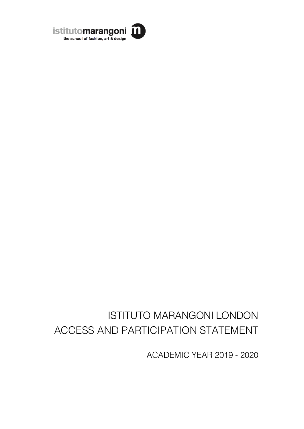

# ISTITUTO MARANGONI LONDON ACCESS AND PARTICIPATION STATEMENT

ACADEMIC YEAR 2019 - 2020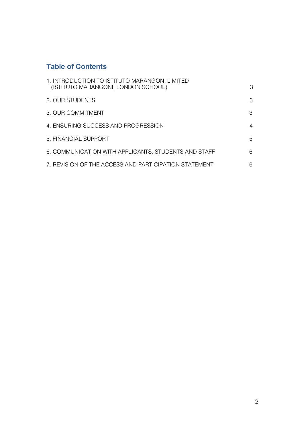# **Table of Contents**

| 1. INTRODUCTION TO ISTITUTO MARANGONI LIMITED<br>(ISTITUTO MARANGONI, LONDON SCHOOL) | 3 |
|--------------------------------------------------------------------------------------|---|
| 2. OUR STUDENTS                                                                      | 3 |
| 3. OUR COMMITMENT                                                                    | 3 |
| 4. ENSURING SUCCESS AND PROGRESSION                                                  | 4 |
| 5. FINANCIAL SUPPORT                                                                 | 5 |
| 6. COMMUNICATION WITH APPLICANTS, STUDENTS AND STAFF                                 | 6 |
| 7. REVISION OF THE ACCESS AND PARTICIPATION STATEMENT                                | 6 |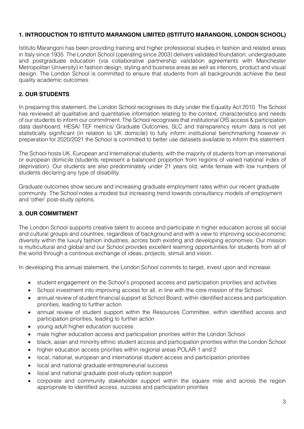# **1. INTRODUCTION TO ISTITUTO MARANGONI LIMITED (ISTITUTO MARANGONI, LONDON SCHOOL)**

Istituto Marangoni has been providing training and higher professional studies in fashion and related areas in Italy since 1935. The London School (operating since 2003) delivers validated foundation, undergraduate and postgraduate education (via collaborative partnership validation agreements with Manchester Metropolitan University) in fashion design, styling and business areas as well as interiors, product and visual design. The London School is committed to ensure that students from all backgrounds achieve the best quality academic outcomes.

# **2. OUR STUDENTS**

In preparing this statement, the London School recognises its duty under the Equality Act 2010. The School has reviewed all qualitative and quantitative information relating to the context, characteristics and needs of our students to inform our commitment. The School recognises that institutional OfS access & participation data dashboard, HESA/ TEF metrics/ Graduate Outcomes, SLC and transparency return data is not yet statistically significant (in relation to UK domicile) to fully inform institutional benchmarking however in preparation for 2020/2021 the School is committed to better use datasets available to inform this statement.

The School hosts UK, European and International students, with the majority of students from an international or european domicile (students represent a balanced proportion from regions of varied national index of deprivation). Our students are also predominately under 21 years old, white female with low numbers of students declaring any type of disability.

Graduate outcomes show secure and increasing graduate employment rates within our recent graduate community. The School notes a modest but increasing trend towards consultancy models of employment and 'other' post-study options.

# **3. OUR COMMITMENT**

The London School supports creative talent to access and participate in higher education across all social and cultural groups and countries, regardless of background and with a view to improving socio-economic diversity within the luxury fashion industries, across both existing and developing economies. Our mission is multicultural and global and our School provides excellent learning opportunities for students from all of the world through a continous exchange of ideas, projects, stimuli and vision.

In developing this annual statement, the London School commits to target, invest upon and increase:

- student engagement on the School's proposed access and participation priorities and activities
- School investment into improving access for all, in line with the core mission of the School
- annual review of student financial support at School Board, within identified access and participation priorities, leading to further action
- annual review of student support within the Resources Committee, within identified access and participation priorities, leading to further action
- young adult higher education success
- male higher education access and participation priorities within the London School
- black, asian and minority ethnic student access and participation priorities within the London School
- higher education access priorities within regional areas POLAR 1 and 2
- local, national, european and international student access and participation priorities
- local and national graduate entrepreneurial success
- local and national graduate post-study option support
- corporate and community stakeholder support within the square mile and across the region appropriate to identified access, success and participation priorities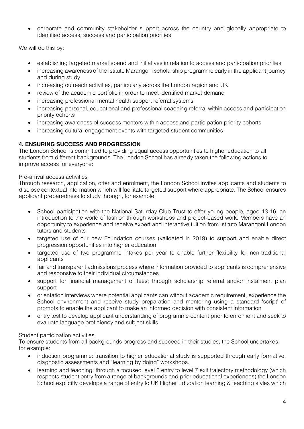• corporate and community stakeholder support across the country and globally appropriate to identified access, success and participation priorities

We will do this by:

- establishing targeted market spend and initiatives in relation to access and participation priorities
- increasing awareness of the Istituto Marangoni scholarship programme early in the applicant journey and during study
- increasing outreach activities, particularly across the London region and UK
- review of the academic portfolio in order to meet identified market demand
- increasing professional mental health support referral systems
- increasing personal, educational and professional coaching referral within access and participation priority cohorts
- increasing awareness of success mentors within access and participation priority cohorts
- increasing cultural engagement events with targeted student communities

# **4. ENSURING SUCCESS AND PROGRESSION**

The London School is committed to providing equal access opportunities to higher education to all students from different backgrounds. The London School has already taken the following actions to improve access for everyone:

#### Pre-arrival access activities

Through research, application, offer and enrolment, the London School invites applicants and students to disclose contextual information which will facilitate targeted support where appropriate. The School ensures applicant preparedness to study through, for example:

- School participation with the National Saturday Club Trust to offer young people, aged 13-16, an introduction to the world of fashion through workshops and project-based work. Members have an opportunity to experience and receive expert and interactive tuition from Istituto Marangoni London tutors and students
- targeted use of our new Foundation courses (validated in 2019) to support and enable direct progression opportunities into higher education
- targeted use of two programme intakes per year to enable further flexibility for non-traditional applicants
- fair and transparent admissions process where information provided to applicants is comprehensive and responsive to their individual circumstances
- support for financial management of fees; through scholarship referral and/or instalment plan support
- orientation interviews where potential applicants can without academic requirement, experience the School environment and receive study preparation and mentoring using a standard 'script' of prompts to enable the applicant to make an informed decision with consistent information
- entry test to develop applicant understanding of programme content prior to enrolment and seek to evaluate language proficiency and subject skills

#### Student participation activities

To ensure students from all backgrounds progress and succeed in their studies, the School undertakes, for example:

- induction programme: transition to higher educational study is supported through early formative, diagnostic assessments and "learning by doing" workshops.
- learning and teaching: through a focused level 3 entry to level 7 exit trajectory methodology (which respects student entry from a range of backgrounds and prior educational experiences) the London School explicitly develops a range of entry to UK Higher Education learning & teaching styles which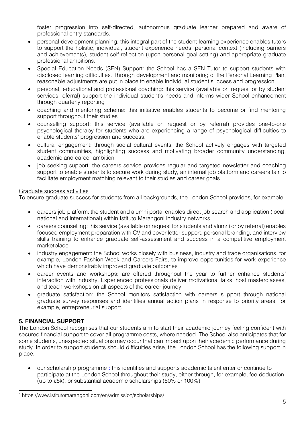foster progression into self-directed, autonomous graduate learner prepared and aware of professional entry standards.

- personal development planning: this integral part of the student learning experience enables tutors to support the holistic, individual, student experience needs, personal context (including barriers and achievements), student self-reflection (upon personal goal setting) and appropriate graduate professional ambitions.
- Special Education Needs (SEN) Support: the School has a SEN Tutor to support students with disclosed learning difficulties. Through development and monitoring of the Personal Learning Plan, reasonable adjustments are put in place to enable individual student success and progression.
- personal, educational and professional coaching: this service (available on request or by student services referral) support the individual student's needs and informs wider School enhancement through quarterly reporting
- coaching and mentoring scheme: this initiative enables students to become or find mentoring support throughout their studies
- counselling support: this service (available on request or by referral) provides one-to-one psychological therapy for students who are experiencing a range of psychological difficulties to enable students' progression and success.
- cultural engagement: through social cultural events, the School actively engages with targeted student communities, highlighting success and motivating broader community understanding, academic and career ambition
- job seeking support: the careers service provides regular and targeted newsletter and coaching support to enable students to secure work during study, an internal job platform and careers fair to facilitate employment matching relevant to their studies and career goals

#### Graduate success activities

To ensure graduate success for students from all backgrounds, the London School provides, for example:

- careers job platform: the student and alumni portal enables direct job search and application (local, national and international) within Istituto Marangoni industry networks
- careers counselling: this service (available on request for students and alumni or by referral) enables focused employment preparation with CV and cover letter support, personal branding, and interview skills training to enhance graduate self-assessment and success in a competitive employment marketplace
- industry engagement: the School works closely with business, industry and trade organisations, for example, London Fashion Week and Careers Fairs, to improve opportunities for work experience which have demonstrably improved graduate outcomes
- career events and workshops: are offered throughout the year to further enhance students' interaction with industry. Experienced professionals deliver motivational talks, host masterclasses, and teach workshops on all aspects of the career journey
- graduate satisfaction: the School monitors satisfaction with careers support through national graduate survey responses and identifies annual action plans in response to priority areas, for example, entrepreneurial support.

#### **5. FINANCIAL SUPPORT**

The London School recognises that our students aim to start their academic journey feeling confident with secured financial support to cover all programme costs, where needed. The School also anticipates that for some students, unexpected situations may occur that can impact upon their academic performance during study. In order to support students should difficulties arise, the London School has the following support in place:

• our scholarship programme<sup>1</sup>: this identifies and supports academic talent enter or continue to participate at the London School throughout their study, either through, for example, fee deduction (up to £5k), or substantial academic scholarships (50% or 100%)

<sup>1</sup> https://www.istitutomarangoni.com/en/admission/scholarships/